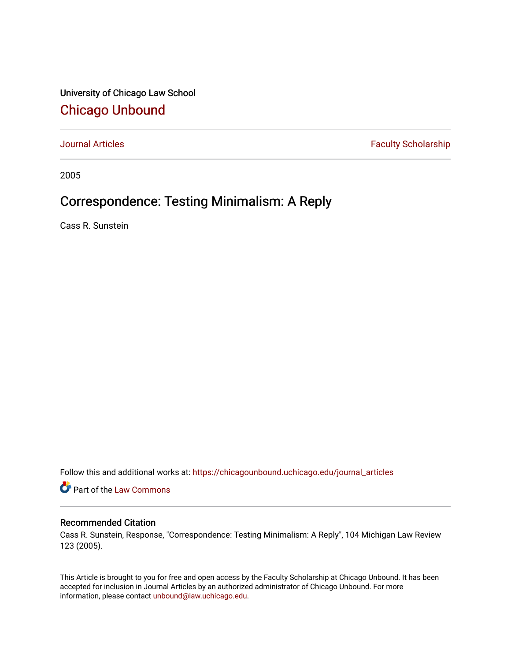University of Chicago Law School [Chicago Unbound](https://chicagounbound.uchicago.edu/)

[Journal Articles](https://chicagounbound.uchicago.edu/journal_articles) **Faculty Scholarship Faculty Scholarship** 

2005

# Correspondence: Testing Minimalism: A Reply

Cass R. Sunstein

Follow this and additional works at: [https://chicagounbound.uchicago.edu/journal\\_articles](https://chicagounbound.uchicago.edu/journal_articles?utm_source=chicagounbound.uchicago.edu%2Fjournal_articles%2F8339&utm_medium=PDF&utm_campaign=PDFCoverPages) 

Part of the [Law Commons](http://network.bepress.com/hgg/discipline/578?utm_source=chicagounbound.uchicago.edu%2Fjournal_articles%2F8339&utm_medium=PDF&utm_campaign=PDFCoverPages)

## Recommended Citation

Cass R. Sunstein, Response, "Correspondence: Testing Minimalism: A Reply", 104 Michigan Law Review 123 (2005).

This Article is brought to you for free and open access by the Faculty Scholarship at Chicago Unbound. It has been accepted for inclusion in Journal Articles by an authorized administrator of Chicago Unbound. For more information, please contact [unbound@law.uchicago.edu](mailto:unbound@law.uchicago.edu).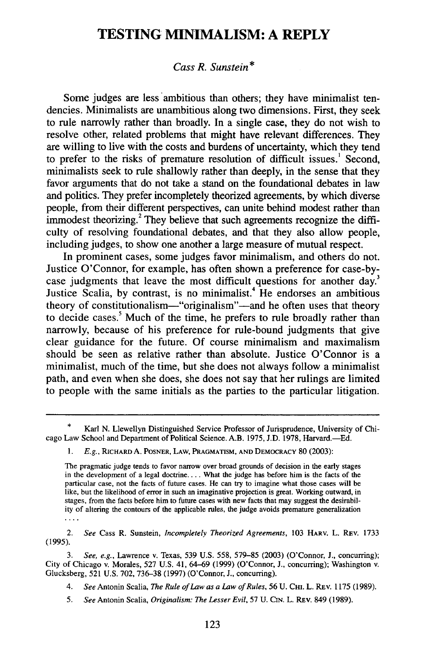## **TESTING MINIMALISM: A REPLY**

## *Cass R. Sunstein \**

Some judges are less ambitious than others; they have minimalist tendencies. Minimalists are unambitious along two dimensions. First, they seek to rule narrowly rather than broadly. In a single case, they do not wish to resolve other, related problems that might have relevant differences. They are willing to live with the costs and burdens of uncertainty, which they tend to prefer to the risks of premature resolution of difficult issues.<sup>1</sup> Second, minimalists seek to rule shallowly rather than deeply, in the sense that they favor arguments that do not take a stand on the foundational debates in law and politics. They prefer incompletely theorized agreements, by which diverse people, from their different perspectives, can unite behind modest rather than immodest theorizing.<sup>2</sup> They believe that such agreements recognize the difficulty of resolving foundational debates, and that they also allow people, including judges, to show one another a large measure of mutual respect.

In prominent cases, some judges favor minimalism, and others do not. Justice O'Connor, for example, has often shown a preference for case-bycase judgments that leave the most difficult questions for another day.<sup>3</sup> Justice Scalia, by contrast, is no minimalist.<sup>4</sup> He endorses an ambitious theory of constitutionalism—"originalism"—and he often uses that theory to decide cases.<sup>5</sup> Much of the time, he prefers to rule broadly rather than narrowly, because of his preference for rule-bound judgments that give clear guidance for the future. Of course minimalism and maximalism should be seen as relative rather than absolute. Justice O'Connor is a minimalist, much of the time, but she does not always follow a minimalist path, and even when she does, she does not say that her rulings are limited to people with the same initials as the parties to the particular litigation.

2. *See* Cass R. Sunstein, *Incompletely Theorized Agreements,* 103 HARV. L. REV. 1733 (1995).

3. *See, e.g.,* Lawrence v. Texas, 539 U.S. 558, 579-85 (2003) (O'Connor, J., concurring); City of Chicago v. Morales, 527 U.S. 41, 64-69 (1999) (O'Connor, J., concurring); Washington v. Glucksberg, 521 U.S. 702, 736-38 (1997) (O'Connor, J., concurring).

*4. See* Antonin Scalia, *The Rule of Law as a Law of Rules,* 56 U. CHI. L. REV. 1175 (1989).

*5. See* Antonin Scalia, *Originalism: The Lesser Evil,* 57 U. CIN. L. REv. 849 (1989).

Karl N. Llewellyn Distinguished Service Professor of Jurisprudence, University of Chicago Law School and Department of Political Science. A.B. 1975, J.D. 1978, Harvard.-Ed.

*<sup>1.</sup> E.g.,* RICHARD A. POSNER, LAW, PRAGMATISM, **AND** DEMOCRACY **80** (2003):

The pragmatic judge tends to favor narrow over broad grounds of decision in the early stages in the development of a legal doctrine.... What the judge has before him is the facts of the particular case, not the facts of future cases. He can try to imagine what those cases will be like, but the likelihood of error in such an imaginative projection is great. Working outward, in stages, from the facts before him to future cases with new facts that may suggest the desirability of altering the contours of the applicable rules, the judge avoids premature generalization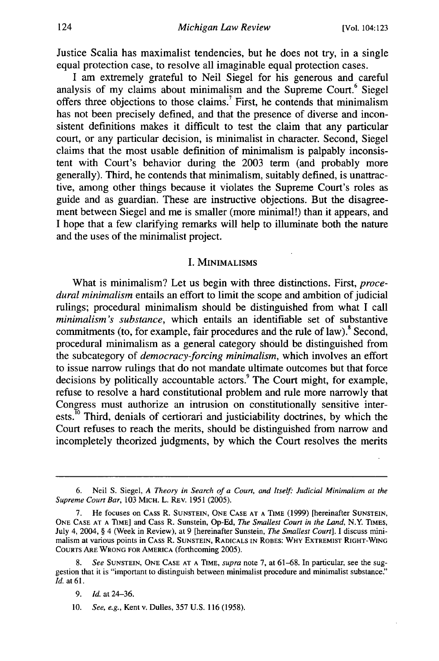Justice Scalia has maximalist tendencies, but he does not try, in a single equal protection case, to resolve all imaginable equal protection cases.

I am extremely grateful to Neil Siegel for his generous and careful analysis of my claims about minimalism and the Supreme Court.<sup>6</sup> Siegel offers three objections to those claims.<sup>7</sup> First, he contends that minimalism has not been precisely defined, and that the presence of diverse and inconsistent definitions makes it difficult to test the claim that any particular court, or any particular decision, is minimalist in character. Second, Siegel claims that the most usable definition of minimalism is palpably inconsistent with Court's behavior during the 2003 term (and probably more generally). Third, he contends that minimalism, suitably defined, is unattractive, among other things because it violates the Supreme Court's roles as guide and as guardian. These are instructive objections. But the disagreement between Siegel and me is smaller (more minimal!) than it appears, and I hope that a few clarifying remarks will help to illuminate both the nature and the uses of the minimalist project.

### **1. MINIMALISMS**

What is minimalism? Let us begin with three distinctions. First, *procedural minimalism* entails an effort to limit the scope and ambition of judicial rulings; procedural minimalism should be distinguished from what I call *minimalism's substance,* which entails an identifiable set of substantive commitments (to, for example, fair procedures and the rule of law).<sup>8</sup> Second, procedural minimalism as a general category should be distinguished from the subcategory of *democracy-forcing minimalism,* which involves an effort to issue narrow rulings that do not mandate ultimate outcomes but that force decisions by politically accountable actors.<sup>9</sup> The Court might, for example, refuse to resolve a hard constitutional problem and rule more narrowly that Congress must authorize an intrusion on constitutionally sensitive interests.<sup>10</sup> Third, denials of certiorari and justiciability doctrines, by which the Court refuses to reach the merits, should be distinguished from narrow and incompletely theorized judgments, by which the Court resolves the merits

<sup>6.</sup> Neil S. Siegel, *A Theory in Search of a Court, and Itself.- Judicial Minimalism at the Supreme Court Bar,* 103 MICH. L. REv. 1951 (2005).

<sup>7.</sup> He focuses on CASS R. **SUNSTEIN, ONE CASE AT A** TIME (1999) [hereinafter SUNSTEIN, **ONE CASE AT A** TIME] and Cass R. Sunstein, **Op-Ed,** *The Smallest Court in the Land,* N.Y. TIMES, July 4, 2004, § 4 (Week in Review), at 9 [hereinafter Sunstein, *The Smallest Court].* I discuss minimalism at various points in CAss R. **SUNSTEIN,** RADICALS **IN** ROBES: WHY EXTREMIST RIGHT-WING COURTS ARE WRONG FOR AMERICA (forthcoming 2005).

<sup>8.</sup> *See* **SUNSTEIN, ONE CASE AT A** TIME, *supra* note 7, at 61-68. In particular, see the suggestion that it is "important to distinguish between minimalist procedure and minimalist substance." *Id.* at 61.

<sup>9.</sup> *Id.* at 24-36.

<sup>10.</sup> *See, e.g.,* Kent v. Dulles, 357 U.S. **116** (1958).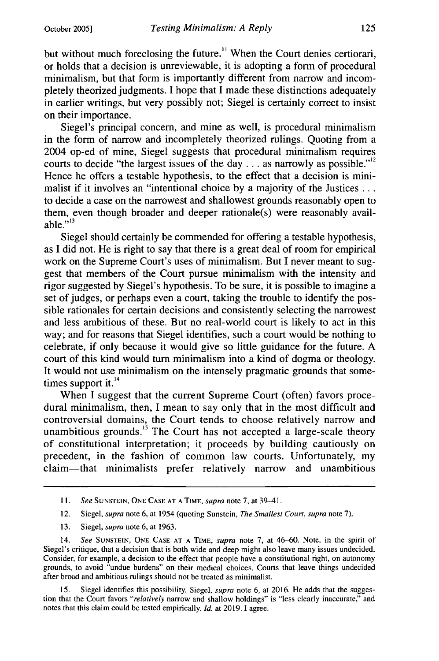but without much foreclosing the future.<sup>11</sup> When the Court denies certiorari, or holds that a decision is unreviewable, it is adopting a form of procedural minimalism, but that form is importantly different from narrow and incompletely theorized judgments. I hope that I made these distinctions adequately in earlier writings, but very possibly not; Siegel is certainly correct to insist on their importance.

Siegel's principal concern, and mine as well, is procedural minimalism in the form of narrow and incompletely theorized rulings. Quoting from a 2004 op-ed of mine, Siegel suggests that procedural minimalism requires courts to decide "the largest issues of the day  $\ldots$  as narrowly as possible."<sup>12</sup> Hence he offers a testable hypothesis, to the effect that a decision is minimalist if it involves an "intentional choice by a majority of the Justices ... to decide a case on the narrowest and shallowest grounds reasonably open to them, even though broader and deeper rationale(s) were reasonably available." $^{13}$ 

Siegel should certainly be commended for offering a testable hypothesis, as I did not. He is right to say that there is a great deal of room for empirical work on the Supreme Court's uses of minimalism. But I never meant to suggest that members of the Court pursue minimalism with the intensity and rigor suggested by Siegel's hypothesis. To be sure, it is possible to imagine a set of judges, or perhaps even a court, taking the trouble to identify the possible rationales for certain decisions and consistently selecting the narrowest and less ambitious of these. But no real-world court is likely to act in this way; and for reasons that Siegel identifies, such a court would be nothing to celebrate, if only because it would give so little guidance for the future. A court of this kind would turn minimalism into a kind of dogma or theology. It would not use minimalism on the intensely pragmatic grounds that sometimes support it.<sup>14</sup>

When I suggest that the current Supreme Court (often) favors procedural minimalism, then, I mean to say only that in the most difficult and controversial domains, the Court tends to choose relatively narrow and unambitious grounds.<sup>15</sup> The Court has not accepted a large-scale theory of constitutional interpretation; it proceeds by building cautiously on precedent, in the fashion of common law courts. Unfortunately, my claim-that minimalists prefer relatively narrow and unambitious

- 12. Siegel, *supra* note 6, at 1954 (quoting Sunstein, *The Smallest Court, supra* note 7).
- 13. Siegel, *supra* note **6,** at 1963.

14. *See* SUNSTEIN, ONE CASE AT **A** TIME, *supra* note 7, at 46-60. Note, in the spirit of Siegel's critique, that a decision that is both wide and deep might also leave many issues undecided. Consider, for example, a decision to the effect that people have a constitutional right, on autonomy grounds, to avoid "undue burdens" on their medical choices. Courts that leave things undecided after broad and ambitious rulings should not be treated as minimalist.

Siegel identifies this possibility. Siegel, *supra* note 6, at 2016. He adds that the suggestion that the Court favors *"relatively* narrow and shallow holdings" is "less clearly inaccurate," and notes that this claim could be tested empirically. *Id.* at 2019. I agree.

*<sup>11.</sup> See* SUNSTEIN, ONE CASE AT A TIME, *supra* note **7,** at 39-41.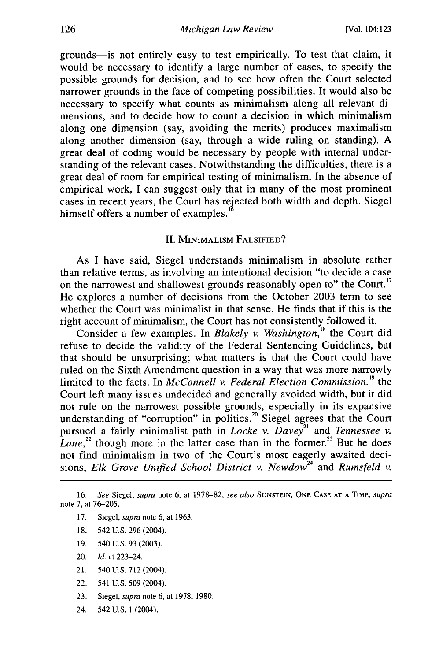grounds-is not entirely easy to test empirically. To test that claim, it would be necessary to identify a large number of cases, to specify the possible grounds for decision, and to see how often the Court selected narrower grounds in the face of competing possibilities. It would also be necessary to specify what counts as minimalism along all relevant dimensions, and to decide how to count a decision in which minimalism along one dimension (say, avoiding the merits) produces maximalism along another dimension (say, through a wide ruling on standing). A great deal of coding would be necessary by people with internal understanding of the relevant cases. Notwithstanding the difficulties, there is a great deal of room for empirical testing of minimalism. In the absence of empirical work, I can suggest only that in many of the most prominent cases in recent years, the Court has rejected both width and depth. Siegel himself offers a number of examples. $16$ 

#### II. MINIMALisM FALSIFIED?

As I have said, Siegel understands minimalism in absolute rather than relative terms, as involving an intentional decision "to decide a case on the narrowest and shallowest grounds reasonably open to" the Court.<sup>17</sup> He explores a number of decisions from the October 2003 term to see whether the Court was minimalist in that sense. He finds that if this is the right account of minimalism, the Court has not consistently followed it.

Consider a few examples. In *Blakely v. Washington*,<sup>18</sup> the Court did refuse to decide the validity of the Federal Sentencing Guidelines, but that should be unsurprising; what matters is that the Court could have ruled on the Sixth Amendment question in a way that was more narrowly limited to the facts. In *McConnell v. Federal Election Commission,'9* the Court left many issues undecided and generally avoided width, but it did not rule on the narrowest possible grounds, especially in its expansive understanding of "corruption" in politics.<sup>20</sup> Siegel agrees that the Court pursued a fairly minimalist path in *Locke v. Davey*<sup>21</sup> and *Tennessee v. Lane*,<sup>22</sup> though more in the latter case than in the former.<sup>23</sup> But he does not find minimalism in two of the Court's most eagerly awaited decisions, *Elk Grove Unified School District v. Newdow*<sup>24</sup> and *Rumsfeld v.* 

- 17. Siegel, *supra* note 6, at 1963.
- 18. 542 U.S. 296 (2004).
- 19. 540 U.S. 93 (2003).
- 20. *Id.* at 223-24.
- 21. 540 U.S. 712 (2004).
- 22. 541 U.S. 509 (2004).
- 23. Siegel, *supra* note 6, at 1978, 1980.
- 24. 542 U.S. **1** (2004).

<sup>16.</sup> *See* Siegel, *supra* note 6, at 1978-82; *see also* **SUNSTEIN, ONE CASE AT** A **TIME,** *supra* note 7, at 76-205.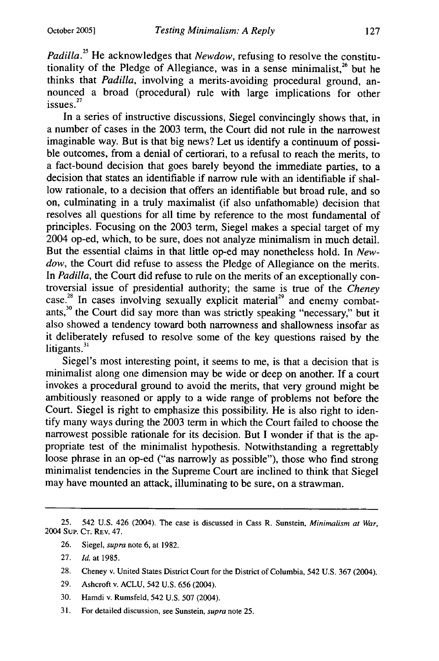*Padilla.25* He acknowledges that *Newdow,* refusing to resolve the constitutionality of the Pledge of Allegiance, was in a sense minimalist,<sup>26</sup> but he thinks that *Padilla,* involving a merits-avoiding procedural ground, announced a broad (procedural) rule with large implications for other issues. $27$ 

In a series of instructive discussions, Siegel convincingly shows that, in a number of cases in the 2003 term, the Court did not rule in the narrowest imaginable way. But is that big news? Let us identify a continuum of possible outcomes, from a denial of certiorari, to a refusal to reach the merits, to a fact-bound decision that goes barely beyond the immediate parties, to a decision that states an identifiable if narrow rule with an identifiable if shallow rationale, to a decision that offers an identifiable but broad rule, and so on, culminating in a truly maximalist (if also unfathomable) decision that resolves all questions for all time by reference to the most fundamental of principles. Focusing on the 2003 term, Siegel makes a special target of my 2004 op-ed, which, to be sure, does not analyze minimalism in much detail. But the essential claims in that little op-ed may nonetheless hold. In *Newdow,* the Court did refuse to assess the Pledge of Allegiance on the merits. In *Padilla,* the Court did refuse to rule on the merits of an exceptionally controversial **28** issue of presidential authority; the same **<sup>2</sup>** is true of the *Cheney* case.<sup>28</sup> In cases involving sexually explicit material<sup>29</sup> and enemy combatants,<sup>30</sup> the Court did say more than was strictly speaking "necessary," but it also showed a tendency toward both narrowness and shallowness insofar as it deliberately refused to resolve some of the key questions raised by the litigants.<sup>3</sup>

Siegel's most interesting point, it seems to me, is that a decision that is minimalist along one dimension may be wide or deep on another. If a court invokes a procedural ground to avoid the merits, that very ground might be ambitiously reasoned or apply to a wide range of problems not before the Court. Siegel is right to emphasize this possibility. He is also right to identify many ways during the **2003** term in which the Court failed to choose the narrowest possible rationale for its decision. But I wonder if that is the appropriate test of the minimalist hypothesis. Notwithstanding a regrettably loose phrase in an op-ed ("as narrowly as possible"), those who find strong minimalist tendencies in the Supreme Court are inclined to think that Siegel may have mounted an attack, illuminating to be sure, on a strawman.

26. Siegel, *supra* note 6, at 1982.

- 28. Cheney v. United States District Court for the District of Columbia, 542 U.S. 367 (2004).
- 29. Ashcroft v. ACLU, 542 U.S. 656 (2004).
- 30. Hamdi v. Rumsfeld, 542 U.S. 507 (2004).
- 31. For detailed discussion, see Sunstein, *supra* note 25.

<sup>25. 542</sup> U.S. 426 (2004). The case is discussed in Cass R. Sunstein, *Minimalism at War,* 2004 Sup. CT. REV. 47.

<sup>27.</sup> *Id.* at 1985.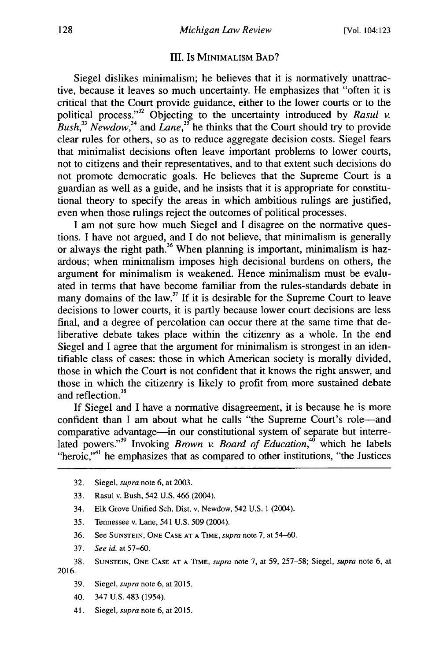#### **Il1.** Is MINIMALIsM BAD?

Siegel dislikes minimalism; he believes that it is normatively unattractive, because it leaves so much uncertainty. He emphasizes that "often it is critical that the Court provide guidance, either to the lower courts or to the political process."<sup>32</sup> Objecting to the uncertainty introduced by *Rasul v. Bush,33 Newdow,34* and *Lane,35* he thinks that the Court should try to provide clear rules for others, so as to reduce aggregate decision costs. Siegel fears that minimalist decisions often leave important problems to lower courts, not to citizens and their representatives, and to that extent such decisions do not promote democratic goals. He believes that the Supreme Court is a guardian as well as a guide, and he insists that it is appropriate for constitutional theory to specify the areas in which ambitious rulings are justified, even when those rulings reject the outcomes of political processes.

I am not sure how much Siegel and I disagree on the normative questions. I have not argued, and I do not believe, that minimalism is generally or always the right path.<sup>36</sup> When planning is important, minimalism is hazardous; when minimalism imposes high decisional burdens on others, the argument for minimalism is weakened. Hence minimalism must be evaluated in terms that have become familiar from the rules-standards debate in many domains of the law.<sup>37</sup> If it is desirable for the Supreme Court to leave decisions to lower courts, it is partly because lower court decisions are less final, and a degree of percolation can occur there at the same time that deliberative debate takes place within the citizenry as a whole. In the end Siegel and I agree that the argument for minimalism is strongest in an identifiable class of cases: those in which American society is morally divided, those in which the Court is not confident that it knows the right answer, and those in which the citizenry is likely to profit from more sustained debate and reflection.<sup>38</sup>

If Siegel and I have a normative disagreement, it is because he is more confident than I am about what he calls "the Supreme Court's role-and comparative advantage-in our constitutional system of separate but interrelated powers."<sup>39</sup> Invoking *Brown v. Board of Education*,<sup>40</sup> which he labels "heroic."<sup>41</sup> he emphasizes that as compared to other institutions, "the Justices

- 32. Siegel, supra note 6, at 2003.
- 33. Rasul v. Bush, 542 U.S. 466 (2004).
- 34. Elk Grove Unified Sch. Dist. v. Newdow, 542 U.S. 1 (2004).
- 35. Tennessee v. Lane, 541 U.S. 509 (2004).
- 36. See **SUNSTEIN, ONE CASE AT A TIME,** supra note **7,** at 54-60.
- 37. See id. at 57-60.
- **38. SUNSTEIN, ONE CASE AT A** TIME, supra note 7, at 59, 257-58; Siegel, supra note 6, at 2016.
	- 39. Siegel, supra note 6, at 2015.
	- 40. 347 U.S. 483 (1954).
	- 41. Siegel, supra note 6, at 2015.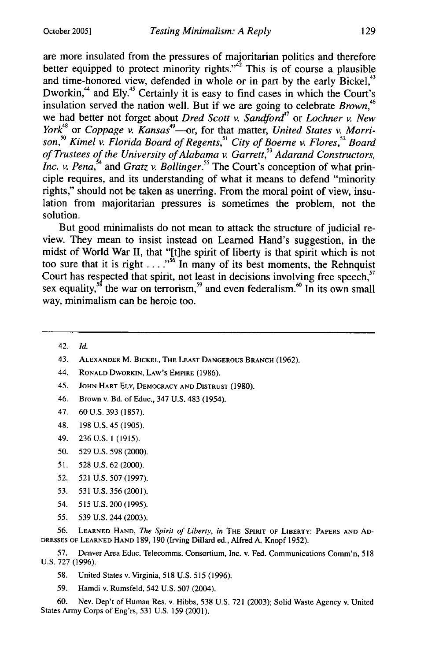are more insulated from the pressures of majoritarian politics and therefore better equipped to protect minority rights." $42$  This is of course a plausible and time-honored view, defended in whole or in part by the early Bickel,<sup>43</sup> Dworkin,<sup>44</sup> and Ely.<sup>45</sup> Certainly it is easy to find cases in which the Court's insulation served the nation well. But if we are going to celebrate *Brown, <sup>6</sup>* we had better not forget about *Dred Scott v. Sandford<sup>17</sup>* or *Lochner v. New York*<sup>48</sup> or *Coppage v. Kansas*<sup>49</sup>—or, for that matter, *United States v. Morri*son,<sup>50</sup> Kimel v. Florida Board of Regents,<sup>51</sup> City of Boerne v. Flores,<sup>52</sup> Board of Trustees of the University of Alabama v. Garrett,<sup>53</sup> Adarand Constructors, *Inc. v. Pena*,<sup>54</sup> and *Gratz v. Bollinger.*<sup>55</sup> The Court's conception of what principle requires, and its understanding of what it means to defend "minority rights," should not be taken as unerring. From the moral point of view, insulation from majoritarian pressures is sometimes the problem, not the solution.

But good minimalists do not mean to attack the structure of judicial review. They mean to insist instead on Learned Hand's suggestion, in the midst of World War II, that "[tihe spirit of liberty is that spirit which is not too sure that it is right . . . .<sup>55</sup> In many of its best moments, the Rehnquist Court has respected that spirit, not least in decisions involving free speech,<sup>57</sup> sex equality,<sup>58</sup> the war on terrorism,<sup>59</sup> and even federalism.<sup>6</sup> In its own small way, minimalism can be heroic too.

42. *Id.*

- 43. **ALEXANDER** M. BICKEL, **THE LEAST DANGEROUS** BRANCH (1962).
- 44. RONALD DWORKIN, **LAW'S EMPIRE** (1986).
- 45. **JOHN HART ELY, DEMOCRACY AND DISTRUST** (1980).
- 46. Brown v. Bd. of Educ., 347 U.S. 483 (1954).
- 47. 60 U.S. **393 (1857).**
- 48. **198** U.S. 45 (1905).
- 49. **236** U.S. **1** (1915).
- 50. 529 U.S. 598 (2000).
- 51. 528 U.S. 62 (2000).
- 52. 521 U.S. 507 (1997).
- 53. 531 U.S. 356 (2001).
- 54. 515 U.S. 200 (1995).
- 55. 539 U.S. 244 (2003).

56. **LEARNED HAND,** *The Spirit of Liberty,* in **THE SPIRIT OF LIBERTY: PAPERS AND AD-DRESSES** OF **LEARNED HAND** 189, 190 (Irving Dillard ed., Alfred A. Knopf 1952).

**57.** Denver Area Educ. Telecomms. Consortium, Inc. v. Fed. Communications Comm'n, 518 U.S. **727** (1996).

- 58. United States v. Virginia, **518** U.S. 515 (1996).
- 59. Hamdi v. Rumsfeld, 542 U.S. **507** (2004).

60. Nev. Dep't of Human Res. v. Hibbs, **538** U.S. **721 (2003);** Solid Waste Agency v. United States Army Corps of Eng'rs, **531** U.S. **159** (2001).